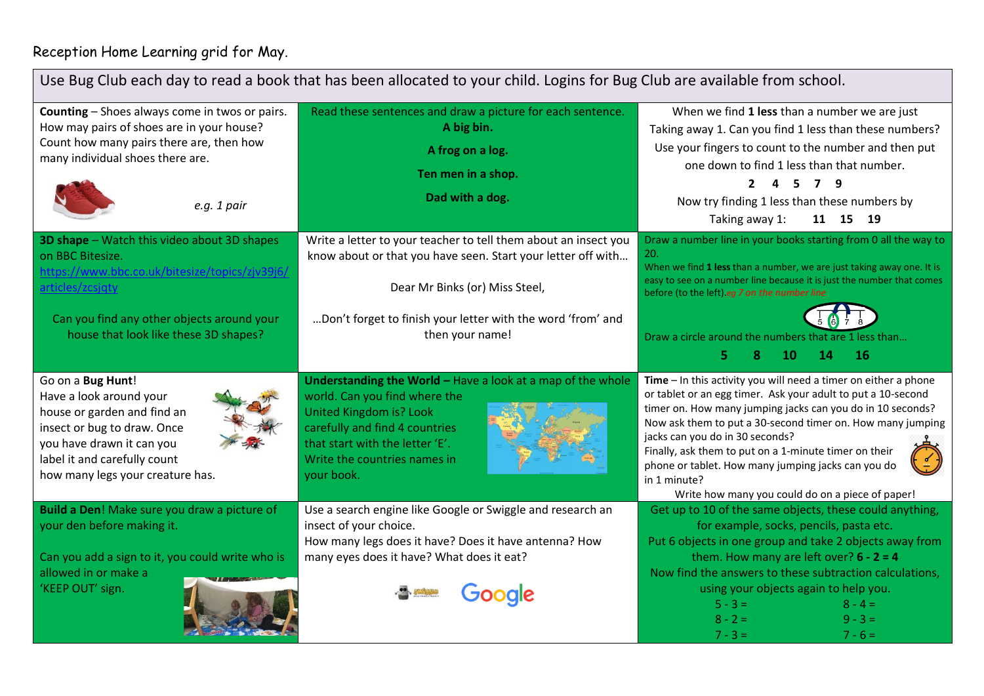## Reception Home Learning grid for May.

| Use Bug Club each day to read a book that has been allocated to your child. Logins for Bug Club are available from school.                                                                                                   |                                                                                                                                                                                                                                                     |                                                                                                                                                                                                                                                                                                                                                                                                                                                                                     |
|------------------------------------------------------------------------------------------------------------------------------------------------------------------------------------------------------------------------------|-----------------------------------------------------------------------------------------------------------------------------------------------------------------------------------------------------------------------------------------------------|-------------------------------------------------------------------------------------------------------------------------------------------------------------------------------------------------------------------------------------------------------------------------------------------------------------------------------------------------------------------------------------------------------------------------------------------------------------------------------------|
| Counting - Shoes always come in twos or pairs.<br>How may pairs of shoes are in your house?<br>Count how many pairs there are, then how<br>many individual shoes there are.<br>e.g. 1 pair                                   | Read these sentences and draw a picture for each sentence.<br>A big bin.<br>A frog on a log.<br>Ten men in a shop.<br>Dad with a dog.                                                                                                               | When we find 1 less than a number we are just<br>Taking away 1. Can you find 1 less than these numbers?<br>Use your fingers to count to the number and then put<br>one down to find 1 less than that number.<br>- 5<br>9<br>$\mathbf{2}$<br>Now try finding 1 less than these numbers by<br>11 15 19<br>Taking away 1:                                                                                                                                                              |
| 3D shape - Watch this video about 3D shapes<br>on BBC Bitesize.<br>https://www.bbc.co.uk/bitesize/topics/zjv39j6/<br>articles/zcsjąty<br>Can you find any other objects around your<br>house that look like these 3D shapes? | Write a letter to your teacher to tell them about an insect you<br>know about or that you have seen. Start your letter off with<br>Dear Mr Binks (or) Miss Steel,<br>Don't forget to finish your letter with the word 'from' and<br>then your name! | Draw a number line in your books starting from 0 all the way to<br>20.<br>When we find 1 less than a number, we are just taking away one. It is<br>easy to see on a number line because it is just the number that comes<br>before (to the left).eg 7 on the number line<br>Draw a circle around the numbers that are 1 less than<br>16<br>5.<br>10<br>14                                                                                                                           |
| Go on a Bug Hunt!<br>Have a look around your<br>house or garden and find an<br>insect or bug to draw. Once<br>you have drawn it can you<br>label it and carefully count<br>how many legs your creature has.                  | Understanding the World - Have a look at a map of the whole<br>world. Can you find where the<br><b>United Kingdom is? Look</b><br>carefully and find 4 countries<br>that start with the letter 'E'.<br>Write the countries names in<br>your book.   | $Time - In this activity you will need a timer on either a phone$<br>or tablet or an egg timer. Ask your adult to put a 10-second<br>timer on. How many jumping jacks can you do in 10 seconds?<br>Now ask them to put a 30-second timer on. How many jumping<br>jacks can you do in 30 seconds?<br>Finally, ask them to put on a 1-minute timer on their<br>phone or tablet. How many jumping jacks can you do<br>in 1 minute?<br>Write how many you could do on a piece of paper! |
| Build a Den! Make sure you draw a picture of<br>your den before making it.<br>Can you add a sign to it, you could write who is<br>allowed in or make a<br>'KEEP OUT' sign.                                                   | Use a search engine like Google or Swiggle and research an<br>insect of your choice.<br>How many legs does it have? Does it have antenna? How<br>many eyes does it have? What does it eat?<br><b>Joogle</b>                                         | Get up to 10 of the same objects, these could anything,<br>for example, socks, pencils, pasta etc.<br>Put 6 objects in one group and take 2 objects away from<br>them. How many are left over? $6 - 2 = 4$<br>Now find the answers to these subtraction calculations,<br>using your objects again to help you.<br>$5 - 3 =$<br>$8 - 4 =$<br>$8 - 2 =$<br>$9 - 3 =$<br>$7 - 3 =$<br>$7 - 6 =$                                                                                        |